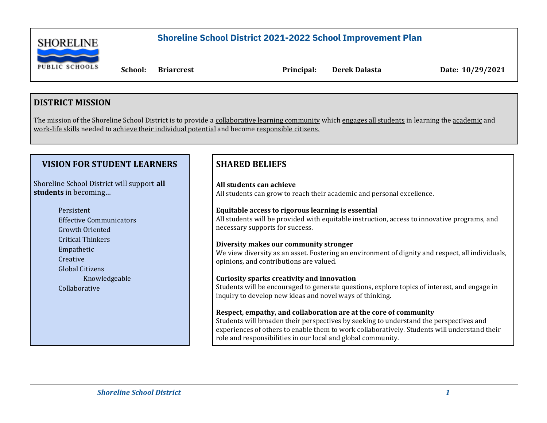

 **School: Briarcrest Principal: Derek Dalasta Date: 10/29/2021**

#### **DISTRICT MISSION**

The mission of the Shoreline School District is to provide a collaborative learning community which engages all students in learning the academic and work-life skills needed to achieve their individual potential and become responsible citizens.

#### **VISION FOR STUDENT LEARNERS**

Shoreline School District will support **all students** in becoming…

> Persistent Effective Communicators Growth Oriented Critical Thinkers Empathetic Creative Global Citizens Knowledgeable Collaborative

#### **SHARED BELIEFS**

**All students can achieve** All students can grow to reach their academic and personal excellence.

#### **Equitable access to rigorous learning is essential**

All students will be provided with equitable instruction, access to innovative programs, and necessary supports for success.

#### **Diversity makes our community stronger**

We view diversity as an asset. Fostering an environment of dignity and respect, all individuals, opinions, and contributions are valued.

#### **Curiosity sparks creativity and innovation**

Students will be encouraged to generate questions, explore topics of interest, and engage in inquiry to develop new ideas and novel ways of thinking.

#### **Respect, empathy, and collaboration are at the core of community**

Students will broaden their perspectives by seeking to understand the perspectives and experiences of others to enable them to work collaboratively. Students will understand their role and responsibilities in our local and global community.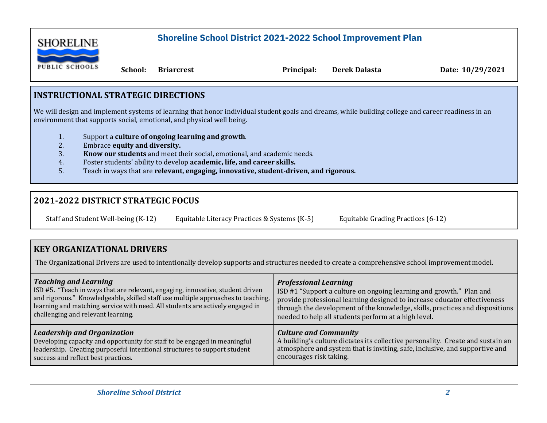

 **School: Briarcrest Principal: Derek Dalasta Date: 10/29/2021**

### **INSTRUCTIONAL STRATEGIC DIRECTIONS**

We will design and implement systems of learning that honor individual student goals and dreams, while building college and career readiness in an environment that supports social, emotional, and physical well being.

- 1. Support a **culture of ongoing learning and growth**.
- 2. Embrace **equity and diversity.**
- 3. **Know our students** and meet their social, emotional, and academic needs.
- 4. Foster students' ability to develop **academic, life, and career skills.**
- 5. Teach in ways that are **relevant, engaging, innovative, student-driven, and rigorous.**

## **2021-2022 DISTRICT STRATEGIC FOCUS**

Staff and Student Well-being (K-12) Equitable Literacy Practices & Systems (K-5) Equitable Grading Practices (6-12)

## **KEY ORGANIZATIONAL DRIVERS**

The Organizational Drivers are used to intentionally develop supports and structures needed to create a comprehensive school improvement model.

| <b>Teaching and Learning</b>                                                     | <b>Professional Learning</b>                                                    |
|----------------------------------------------------------------------------------|---------------------------------------------------------------------------------|
| ISD #5. "Teach in ways that are relevant, engaging, innovative, student driven   | ISD #1 "Support a culture on ongoing learning and growth." Plan and             |
| and rigorous." Knowledgeable, skilled staff use multiple approaches to teaching, | provide professional learning designed to increase educator effectiveness       |
| learning and matching service with need. All students are actively engaged in    | through the development of the knowledge, skills, practices and dispositions    |
| challenging and relevant learning.                                               | needed to help all students perform at a high level.                            |
| <b>Leadership and Organization</b>                                               | <b>Culture and Community</b>                                                    |
| Developing capacity and opportunity for staff to be engaged in meaningful        | A building's culture dictates its collective personality. Create and sustain an |
| leadership. Creating purposeful intentional structures to support student        | atmosphere and system that is inviting, safe, inclusive, and supportive and     |
| success and reflect best practices.                                              | encourages risk taking.                                                         |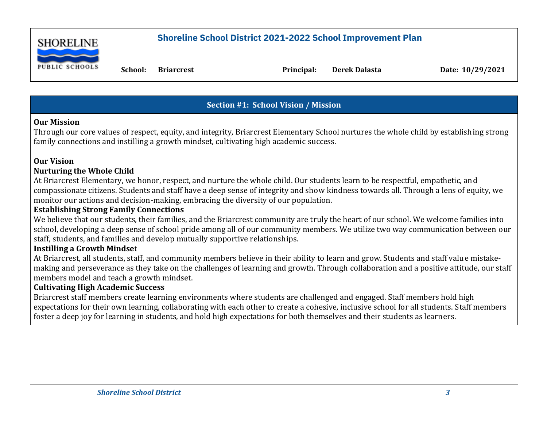

 **School: Briarcrest Principal: Derek Dalasta Date: 10/29/2021**

## **Section #1: School Vision / Mission**

#### **Our Mission**

Through our core values of respect, equity, and integrity, Briarcrest Elementary School nurtures the whole child by establishing strong family connections and instilling a growth mindset, cultivating high academic success.

#### **Our Vision**

### **Nurturing the Whole Child**

At Briarcrest Elementary, we honor, respect, and nurture the whole child. Our students learn to be respectful, empathetic, and compassionate citizens. Students and staff have a deep sense of integrity and show kindness towards all. Through a lens of equity, we monitor our actions and decision-making, embracing the diversity of our population.

#### **Establishing Strong Family Connections**

We believe that our students, their families, and the Briarcrest community are truly the heart of our school. We welcome families into school, developing a deep sense of school pride among all of our community members. We utilize two way communication between our staff, students, and families and develop mutually supportive relationships.

### **Instilling a Growth Mindse**t

At Briarcrest, all students, staff, and community members believe in their ability to learn and grow. Students and staff value mistakemaking and perseverance as they take on the challenges of learning and growth. Through collaboration and a positive attitude, our staff members model and teach a growth mindset.

### **Cultivating High Academic Success**

Briarcrest staff members create learning environments where students are challenged and engaged. Staff members hold high expectations for their own learning, collaborating with each other to create a cohesive, inclusive school for all students. Staff members foster a deep joy for learning in students, and hold high expectations for both themselves and their students as learners.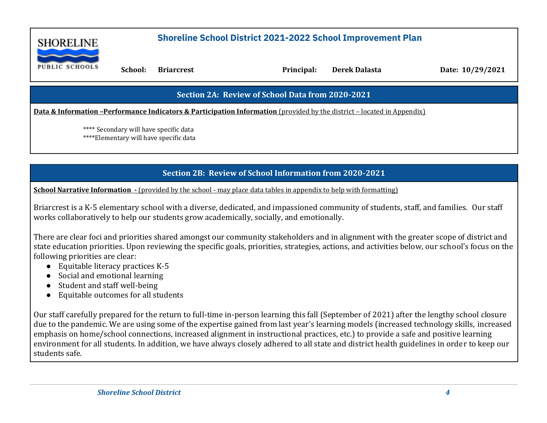

 **School: Briarcrest Principal: Derek Dalasta Date: 10/29/2021**

#### **Section 2A: Review of School Data from 2020-2021**

**Data & Information -Performance Indicators & Participation Information (provided by the district – located in Appendix)** 

\*\*\*\* Secondary will have specific data \*\*\*\*Elementary will have specific data

#### **Section 2B: Review of School Information from 2020-2021**

**School Narrative Information -** (provided by the school - may place data tables in appendix to help with formatting)

Briarcrest is a K-5 elementary school with a diverse, dedicated, and impassioned community of students, staff, and families. Our staff works collaboratively to help our students grow academically, socially, and emotionally.

There are clear foci and priorities shared amongst our community stakeholders and in alignment with the greater scope of district and state education priorities. Upon reviewing the specific goals, priorities, strategies, actions, and activities below, our school's focus on the following priorities are clear:

- Equitable literacy practices K-5
- Social and emotional learning
- Student and staff well-being
- Equitable outcomes for all students

Our staff carefully prepared for the return to full-time in-person learning this fall (September of 2021) after the lengthy school closure due to the pandemic. We are using some of the expertise gained from last year's learning models (increased technology skills, increased emphasis on home/school connections, increased alignment in instructional practices, etc.) to provide a safe and positive learning environment for all students. In addition, we have always closely adhered to all state and district health guidelines in order to keep our students safe.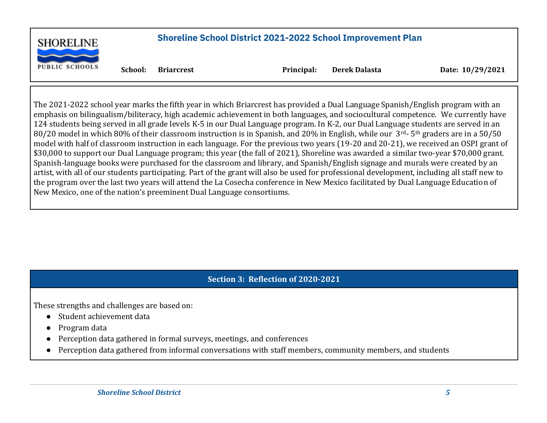

 **School: Briarcrest Principal: Derek Dalasta Date: 10/29/2021**

The 2021-2022 school year marks the fifth year in which Briarcrest has provided a Dual Language Spanish/English program with an emphasis on bilingualism/biliteracy, high academic achievement in both languages, and sociocultural competence. We currently have 124 students being served in all grade levels K-5 in our Dual Language program. In K-2, our Dual Language students are served in an 80/20 model in which 80% of their classroom instruction is in Spanish, and 20% in English, while our 3rd- 5th graders are in a 50/50 model with half of classroom instruction in each language. For the previous two years (19-20 and 20-21), we received an OSPI grant of \$30,000 to support our Dual Language program; this year (the fall of 2021), Shoreline was awarded a similar two-year \$70,000 grant. Spanish-language books were purchased for the classroom and library, and Spanish/English signage and murals were created by an artist, with all of our students participating. Part of the grant will also be used for professional development, including all staff new to the program over the last two years will attend the La Cosecha conference in New Mexico facilitated by Dual Language Education of New Mexico, one of the nation's preeminent Dual Language consortiums.

### **Section 3: Reflection of 2020-2021**

These strengths and challenges are based on:

- Student achievement data
- Program data
- Perception data gathered in formal surveys, meetings, and conferences
- Perception data gathered from informal conversations with staff members, community members, and students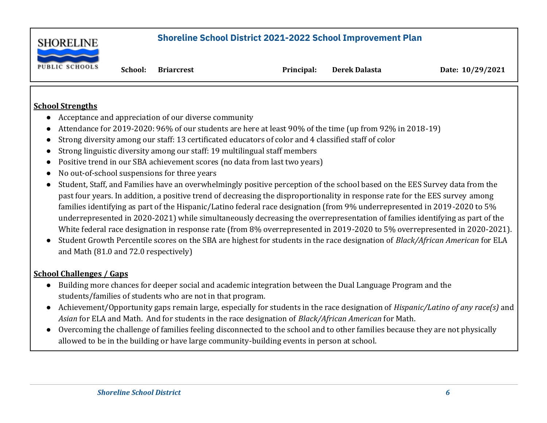

 **School: Briarcrest Principal: Derek Dalasta Date: 10/29/2021**

#### **School Strengths**

- Acceptance and appreciation of our diverse community
- Attendance for 2019-2020: 96% of our students are here at least 90% of the time (up from 92% in 2018-19)
- Strong diversity among our staff: 13 certificated educators of color and 4 classified staff of color
- Strong linguistic diversity among our staff: 19 multilingual staff members
- Positive trend in our SBA achievement scores (no data from last two years)
- No out-of-school suspensions for three years
- Student, Staff, and Families have an overwhelmingly positive perception of the school based on the EES Survey data from the past four years. In addition, a positive trend of decreasing the disproportionality in response rate for the EES survey among families identifying as part of the Hispanic/Latino federal race designation (from 9% underrepresented in 2019-2020 to 5% underrepresented in 2020-2021) while simultaneously decreasing the overrepresentation of families identifying as part of the White federal race designation in response rate (from 8% overrepresented in 2019-2020 to 5% overrepresented in 2020-2021).
- Student Growth Percentile scores on the SBA are highest for students in the race designation of *Black/African American* for ELA and Math (81.0 and 72.0 respectively)

### **School Challenges / Gaps**

- Building more chances for deeper social and academic integration between the Dual Language Program and the students/families of students who are not in that program.
- Achievement/Opportunity gaps remain large, especially for students in the race designation of *Hispanic/Latino of any race(s)* and *Asian* for ELA and Math. And for students in the race designation of *Black/African American* for Math.
- Overcoming the challenge of families feeling disconnected to the school and to other families because they are not physically allowed to be in the building or have large community-building events in person at school.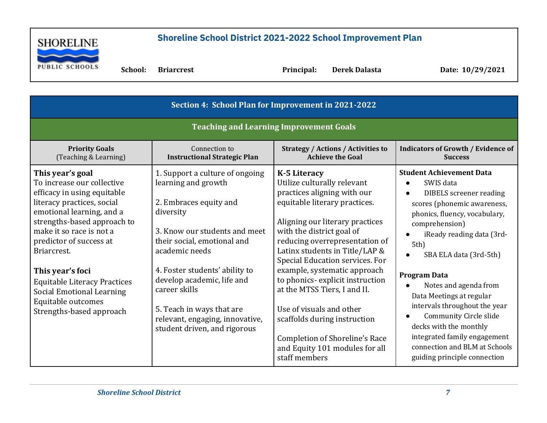

 **School: Briarcrest Principal: Derek Dalasta Date: 10/29/2021**

| Section 4: School Plan for Improvement in 2021-2022                                                                                                                                                                                                                                                                                                                                            |                                                                                                                                                                                                                                                                                                                                                                  |                                                                                                                                                                                                                                                                                                                                                                                                                                                                                                                                               |                                                                                                                                                                                                                                                                                                                                                                                                                                                                                                               |  |  |
|------------------------------------------------------------------------------------------------------------------------------------------------------------------------------------------------------------------------------------------------------------------------------------------------------------------------------------------------------------------------------------------------|------------------------------------------------------------------------------------------------------------------------------------------------------------------------------------------------------------------------------------------------------------------------------------------------------------------------------------------------------------------|-----------------------------------------------------------------------------------------------------------------------------------------------------------------------------------------------------------------------------------------------------------------------------------------------------------------------------------------------------------------------------------------------------------------------------------------------------------------------------------------------------------------------------------------------|---------------------------------------------------------------------------------------------------------------------------------------------------------------------------------------------------------------------------------------------------------------------------------------------------------------------------------------------------------------------------------------------------------------------------------------------------------------------------------------------------------------|--|--|
| <b>Teaching and Learning Improvement Goals</b>                                                                                                                                                                                                                                                                                                                                                 |                                                                                                                                                                                                                                                                                                                                                                  |                                                                                                                                                                                                                                                                                                                                                                                                                                                                                                                                               |                                                                                                                                                                                                                                                                                                                                                                                                                                                                                                               |  |  |
| <b>Priority Goals</b><br>(Teaching & Learning)                                                                                                                                                                                                                                                                                                                                                 | Connection to<br><b>Instructional Strategic Plan</b>                                                                                                                                                                                                                                                                                                             | <b>Strategy / Actions / Activities to</b><br><b>Achieve the Goal</b>                                                                                                                                                                                                                                                                                                                                                                                                                                                                          | <b>Indicators of Growth / Evidence of</b><br><b>Success</b>                                                                                                                                                                                                                                                                                                                                                                                                                                                   |  |  |
| This year's goal<br>To increase our collective<br>efficacy in using equitable<br>literacy practices, social<br>emotional learning, and a<br>strengths-based approach to<br>make it so race is not a<br>predictor of success at<br>Briarcrest.<br>This year's foci<br><b>Equitable Literacy Practices</b><br><b>Social Emotional Learning</b><br>Equitable outcomes<br>Strengths-based approach | 1. Support a culture of ongoing<br>learning and growth<br>2. Embraces equity and<br>diversity<br>3. Know our students and meet<br>their social, emotional and<br>academic needs<br>4. Foster students' ability to<br>develop academic, life and<br>career skills<br>5. Teach in ways that are<br>relevant, engaging, innovative,<br>student driven, and rigorous | <b>K-5 Literacy</b><br>Utilize culturally relevant<br>practices aligning with our<br>equitable literary practices.<br>Aligning our literary practices<br>with the district goal of<br>reducing overrepresentation of<br>Latinx students in Title/LAP &<br>Special Education services. For<br>example, systematic approach<br>to phonics-explicit instruction<br>at the MTSS Tiers, I and II.<br>Use of visuals and other<br>scaffolds during instruction<br>Completion of Shoreline's Race<br>and Equity 101 modules for all<br>staff members | <b>Student Achievement Data</b><br>SWIS data<br><b>DIBELS</b> screener reading<br>$\bullet$<br>scores (phonemic awareness,<br>phonics, fluency, vocabulary,<br>comprehension)<br>iReady reading data (3rd-<br>5th<br>SBA ELA data (3rd-5th)<br><b>Program Data</b><br>Notes and agenda from<br>Data Meetings at regular<br>intervals throughout the year<br>Community Circle slide<br>decks with the monthly<br>integrated family engagement<br>connection and BLM at Schools<br>guiding principle connection |  |  |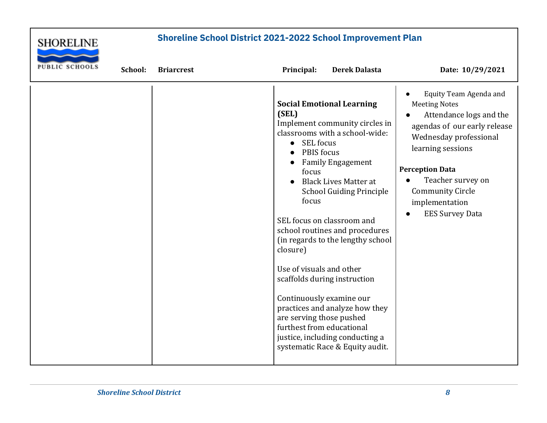

| <b>PUBLIC SCHOOLS</b> | School: | <b>Briarcrest</b> | Principal:                                                                                                                                                                        | <b>Derek Dalasta</b>                                                                                                                                                                                                                                                                                                                                                                                                                             | Date: 10/29/2021                                                                                                                                                                                                                                                               |
|-----------------------|---------|-------------------|-----------------------------------------------------------------------------------------------------------------------------------------------------------------------------------|--------------------------------------------------------------------------------------------------------------------------------------------------------------------------------------------------------------------------------------------------------------------------------------------------------------------------------------------------------------------------------------------------------------------------------------------------|--------------------------------------------------------------------------------------------------------------------------------------------------------------------------------------------------------------------------------------------------------------------------------|
|                       |         |                   | (SEL)<br>• SEL focus<br>PBIS focus<br>focus<br>focus<br>closure)<br>Use of visuals and other<br>Continuously examine our<br>are serving those pushed<br>furthest from educational | <b>Social Emotional Learning</b><br>Implement community circles in<br>classrooms with a school-wide:<br><b>Family Engagement</b><br><b>Black Lives Matter at</b><br><b>School Guiding Principle</b><br>SEL focus on classroom and<br>school routines and procedures<br>(in regards to the lengthy school<br>scaffolds during instruction<br>practices and analyze how they<br>justice, including conducting a<br>systematic Race & Equity audit. | Equity Team Agenda and<br><b>Meeting Notes</b><br>Attendance logs and the<br>agendas of our early release<br>Wednesday professional<br>learning sessions<br><b>Perception Data</b><br>Teacher survey on<br><b>Community Circle</b><br>implementation<br><b>EES Survey Data</b> |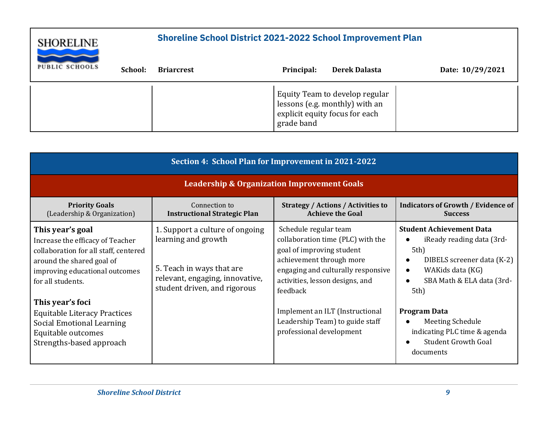| <b>SHORELINE</b>      |         | <b>Shoreline School District 2021-2022 School Improvement Plan</b> |            |                                                                                                    |                  |
|-----------------------|---------|--------------------------------------------------------------------|------------|----------------------------------------------------------------------------------------------------|------------------|
| <b>PUBLIC SCHOOLS</b> | School: | <b>Briarcrest</b>                                                  | Principal: | <b>Derek Dalasta</b>                                                                               | Date: 10/29/2021 |
|                       |         |                                                                    | grade band | Equity Team to develop regular<br>lessons (e.g. monthly) with an<br>explicit equity focus for each |                  |

| Section 4: School Plan for Improvement in 2021-2022                                                                                                                               |                                                                                                                                                        |                                                                                                                                                                                                          |                                                                                                                                                                          |  |  |  |
|-----------------------------------------------------------------------------------------------------------------------------------------------------------------------------------|--------------------------------------------------------------------------------------------------------------------------------------------------------|----------------------------------------------------------------------------------------------------------------------------------------------------------------------------------------------------------|--------------------------------------------------------------------------------------------------------------------------------------------------------------------------|--|--|--|
|                                                                                                                                                                                   | <b>Leadership &amp; Organization Improvement Goals</b>                                                                                                 |                                                                                                                                                                                                          |                                                                                                                                                                          |  |  |  |
| <b>Priority Goals</b><br>(Leadership & Organization)                                                                                                                              | Connection to<br><b>Instructional Strategic Plan</b>                                                                                                   | <b>Strategy / Actions / Activities to</b><br><b>Achieve the Goal</b>                                                                                                                                     | <b>Indicators of Growth / Evidence of</b><br><b>Success</b>                                                                                                              |  |  |  |
| This year's goal<br>Increase the efficacy of Teacher<br>collaboration for all staff, centered<br>around the shared goal of<br>improving educational outcomes<br>for all students. | 1. Support a culture of ongoing<br>learning and growth<br>5. Teach in ways that are<br>relevant, engaging, innovative,<br>student driven, and rigorous | Schedule regular team<br>collaboration time (PLC) with the<br>goal of improving student<br>achievement through more<br>engaging and culturally responsive<br>activities, lesson designs, and<br>feedback | <b>Student Achievement Data</b><br>iReady reading data (3rd-<br>5th)<br>DIBELS screener data (K-2)<br>WAKids data (KG)<br>$\bullet$<br>SBA Math & ELA data (3rd-<br>5th) |  |  |  |
| This year's foci<br><b>Equitable Literacy Practices</b><br><b>Social Emotional Learning</b><br>Equitable outcomes<br>Strengths-based approach                                     |                                                                                                                                                        | Implement an ILT (Instructional<br>Leadership Team) to guide staff<br>professional development                                                                                                           | <b>Program Data</b><br>Meeting Schedule<br>indicating PLC time & agenda<br><b>Student Growth Goal</b><br>documents                                                       |  |  |  |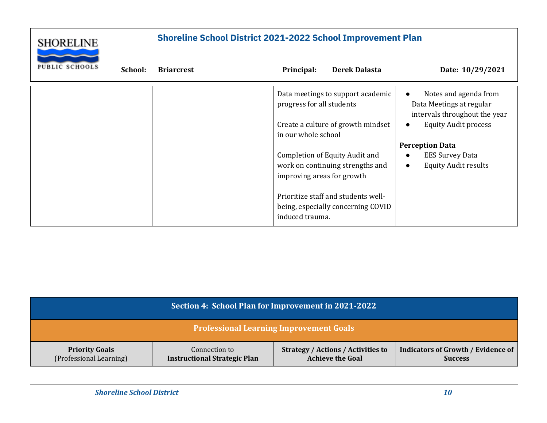

| <b>PUBLIC SCHOOLS</b> | School: | <b>Briarcrest</b> | Principal:                                       | <b>Derek Dalasta</b>                                                      | Date: 10/29/2021                                                                                                  |
|-----------------------|---------|-------------------|--------------------------------------------------|---------------------------------------------------------------------------|-------------------------------------------------------------------------------------------------------------------|
|                       |         |                   | progress for all students<br>in our whole school | Data meetings to support academic<br>Create a culture of growth mindset   | Notes and agenda from<br>Data Meetings at regular<br>intervals throughout the year<br><b>Equity Audit process</b> |
|                       |         |                   |                                                  |                                                                           | <b>Perception Data</b>                                                                                            |
|                       |         |                   | improving areas for growth                       | Completion of Equity Audit and<br>work on continuing strengths and        | <b>EES Survey Data</b><br><b>Equity Audit results</b><br>$\bullet$                                                |
|                       |         |                   | induced trauma.                                  | Prioritize staff and students well-<br>being, especially concerning COVID |                                                                                                                   |

| Section 4: School Plan for Improvement in 2021-2022                                                                                                                                                                                             |                                                |  |  |  |  |
|-------------------------------------------------------------------------------------------------------------------------------------------------------------------------------------------------------------------------------------------------|------------------------------------------------|--|--|--|--|
|                                                                                                                                                                                                                                                 | <b>Professional Learning Improvement Goals</b> |  |  |  |  |
| <b>Indicators of Growth / Evidence of</b><br><b>Strategy / Actions / Activities to</b><br><b>Priority Goals</b><br>Connection to<br>(Professional Learning)<br><b>Achieve the Goal</b><br><b>Instructional Strategic Plan</b><br><b>Success</b> |                                                |  |  |  |  |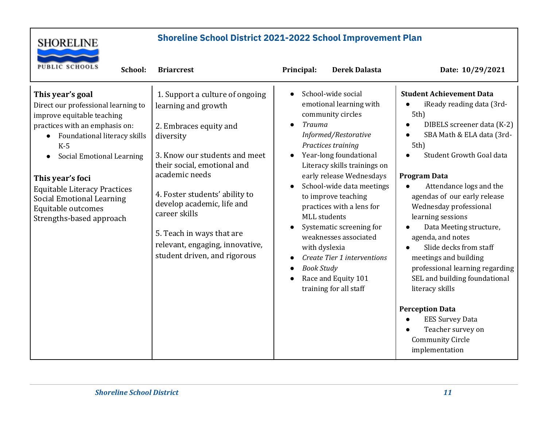

| <b>PUBLIC SCHOOLS</b><br>School:                                                                                                                                                                                                                                                                                                               | <b>Briarcrest</b>                                                                                                                                                                                                                                                                                                                                                | Principal:<br><b>Derek Dalasta</b>                                                                                                                                                                                                                                                                                                                                                                                                                                                                         | Date: 10/29/2021                                                                                                                                                                                                                                                                                                                                                                                                                                                                               |
|------------------------------------------------------------------------------------------------------------------------------------------------------------------------------------------------------------------------------------------------------------------------------------------------------------------------------------------------|------------------------------------------------------------------------------------------------------------------------------------------------------------------------------------------------------------------------------------------------------------------------------------------------------------------------------------------------------------------|------------------------------------------------------------------------------------------------------------------------------------------------------------------------------------------------------------------------------------------------------------------------------------------------------------------------------------------------------------------------------------------------------------------------------------------------------------------------------------------------------------|------------------------------------------------------------------------------------------------------------------------------------------------------------------------------------------------------------------------------------------------------------------------------------------------------------------------------------------------------------------------------------------------------------------------------------------------------------------------------------------------|
| This year's goal<br>Direct our professional learning to<br>improve equitable teaching<br>practices with an emphasis on:<br>Foundational literacy skills<br>$K-5$<br>Social Emotional Learning<br>This year's foci<br><b>Equitable Literacy Practices</b><br><b>Social Emotional Learning</b><br>Equitable outcomes<br>Strengths-based approach | 1. Support a culture of ongoing<br>learning and growth<br>2. Embraces equity and<br>diversity<br>3. Know our students and meet<br>their social, emotional and<br>academic needs<br>4. Foster students' ability to<br>develop academic, life and<br>career skills<br>5. Teach in ways that are<br>relevant, engaging, innovative,<br>student driven, and rigorous | School-wide social<br>emotional learning with<br>community circles<br><b>Trauma</b><br>Informed/Restorative<br>Practices training<br>Year-long foundational<br>Literacy skills trainings on<br>early release Wednesdays<br>School-wide data meetings<br>to improve teaching<br>practices with a lens for<br><b>MLL</b> students<br>Systematic screening for<br>weaknesses associated<br>with dyslexia<br>Create Tier 1 interventions<br><b>Book Study</b><br>Race and Equity 101<br>training for all staff | <b>Student Achievement Data</b><br>iReady reading data (3rd-<br>5th)<br>DIBELS screener data (K-2)<br>SBA Math & ELA data (3rd-<br>5th)<br>Student Growth Goal data<br><b>Program Data</b><br>Attendance logs and the<br>agendas of our early release<br>Wednesday professional<br>learning sessions<br>Data Meeting structure,<br>agenda, and notes<br>Slide decks from staff<br>meetings and building<br>professional learning regarding<br>SEL and building foundational<br>literacy skills |
|                                                                                                                                                                                                                                                                                                                                                |                                                                                                                                                                                                                                                                                                                                                                  |                                                                                                                                                                                                                                                                                                                                                                                                                                                                                                            | <b>Perception Data</b><br><b>EES Survey Data</b><br>Teacher survey on<br><b>Community Circle</b><br>implementation                                                                                                                                                                                                                                                                                                                                                                             |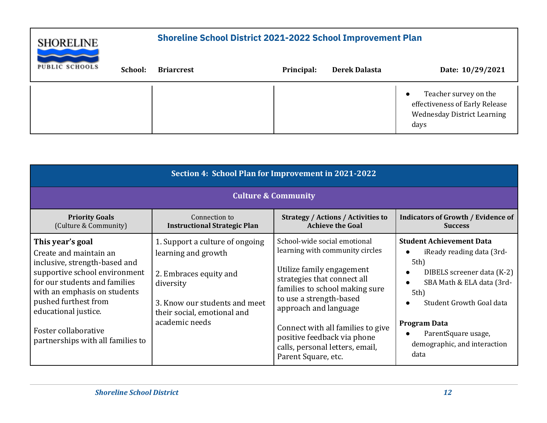| <b>SHORELINE</b>      |         | <b>Shoreline School District 2021-2022 School Improvement Plan</b> |            |                      |                                                                                                       |
|-----------------------|---------|--------------------------------------------------------------------|------------|----------------------|-------------------------------------------------------------------------------------------------------|
| <b>PUBLIC SCHOOLS</b> | School: | <b>Briarcrest</b>                                                  | Principal: | <b>Derek Dalasta</b> | Date: 10/29/2021                                                                                      |
|                       |         |                                                                    |            |                      | Teacher survey on the<br>effectiveness of Early Release<br><b>Wednesday District Learning</b><br>days |

| Section 4: School Plan for Improvement in 2021-2022                                                                                                                                                                                                                                        |                                                                                                                                                                                 |                                                                                                                                                                                                                                                                                                                                                 |                                                                                                                                                                                                                                                                 |  |  |
|--------------------------------------------------------------------------------------------------------------------------------------------------------------------------------------------------------------------------------------------------------------------------------------------|---------------------------------------------------------------------------------------------------------------------------------------------------------------------------------|-------------------------------------------------------------------------------------------------------------------------------------------------------------------------------------------------------------------------------------------------------------------------------------------------------------------------------------------------|-----------------------------------------------------------------------------------------------------------------------------------------------------------------------------------------------------------------------------------------------------------------|--|--|
| <b>Culture &amp; Community</b>                                                                                                                                                                                                                                                             |                                                                                                                                                                                 |                                                                                                                                                                                                                                                                                                                                                 |                                                                                                                                                                                                                                                                 |  |  |
| <b>Priority Goals</b><br>(Culture & Community)                                                                                                                                                                                                                                             | Connection to<br><b>Instructional Strategic Plan</b>                                                                                                                            | <b>Strategy / Actions / Activities to</b><br><b>Achieve the Goal</b>                                                                                                                                                                                                                                                                            | <b>Indicators of Growth / Evidence of</b><br><b>Success</b>                                                                                                                                                                                                     |  |  |
| This year's goal<br>Create and maintain an<br>inclusive, strength-based and<br>supportive school environment<br>for our students and families<br>with an emphasis on students<br>pushed furthest from<br>educational justice.<br>Foster collaborative<br>partnerships with all families to | 1. Support a culture of ongoing<br>learning and growth<br>2. Embraces equity and<br>diversity<br>3. Know our students and meet<br>their social, emotional and<br>academic needs | School-wide social emotional<br>learning with community circles<br>Utilize family engagement<br>strategies that connect all<br>families to school making sure<br>to use a strength-based<br>approach and language<br>Connect with all families to give<br>positive feedback via phone<br>calls, personal letters, email,<br>Parent Square, etc. | <b>Student Achievement Data</b><br>iReady reading data (3rd-<br>$5th$ )<br>DIBELS screener data (K-2)<br>SBA Math & ELA data (3rd-<br>$5th$ )<br>Student Growth Goal data<br><b>Program Data</b><br>ParentSquare usage,<br>demographic, and interaction<br>data |  |  |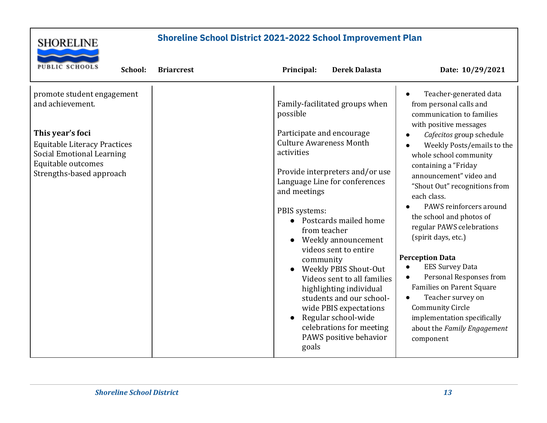

| <b>PUBLIC SCHOOLS</b><br>School:                                                                                                                                                                | <b>Briarcrest</b> | Principal:<br><b>Derek Dalasta</b>                                                                                                                                                                                                                                                                                                                                                                                                                                                                                                                                                    | Date: 10/29/2021                                                                                                                                                                                                                                                                                                                                                                                                                                                                                                                                                                                                                                         |
|-------------------------------------------------------------------------------------------------------------------------------------------------------------------------------------------------|-------------------|---------------------------------------------------------------------------------------------------------------------------------------------------------------------------------------------------------------------------------------------------------------------------------------------------------------------------------------------------------------------------------------------------------------------------------------------------------------------------------------------------------------------------------------------------------------------------------------|----------------------------------------------------------------------------------------------------------------------------------------------------------------------------------------------------------------------------------------------------------------------------------------------------------------------------------------------------------------------------------------------------------------------------------------------------------------------------------------------------------------------------------------------------------------------------------------------------------------------------------------------------------|
| promote student engagement<br>and achievement.<br>This year's foci<br><b>Equitable Literacy Practices</b><br><b>Social Emotional Learning</b><br>Equitable outcomes<br>Strengths-based approach |                   | Family-facilitated groups when<br>possible<br>Participate and encourage<br><b>Culture Awareness Month</b><br>activities<br>Provide interpreters and/or use<br>Language Line for conferences<br>and meetings<br>PBIS systems:<br>Postcards mailed home<br>from teacher<br>Weekly announcement<br>videos sent to entire<br>community<br><b>Weekly PBIS Shout-Out</b><br>$\bullet$<br>Videos sent to all families<br>highlighting individual<br>students and our school-<br>wide PBIS expectations<br>Regular school-wide<br>celebrations for meeting<br>PAWS positive behavior<br>goals | Teacher-generated data<br>from personal calls and<br>communication to families<br>with positive messages<br>Cafecitos group schedule<br>Weekly Posts/emails to the<br>whole school community<br>containing a "Friday<br>announcement" video and<br>"Shout Out" recognitions from<br>each class.<br>PAWS reinforcers around<br>the school and photos of<br>regular PAWS celebrations<br>(spirit days, etc.)<br><b>Perception Data</b><br><b>EES Survey Data</b><br>Personal Responses from<br><b>Families on Parent Square</b><br>Teacher survey on<br><b>Community Circle</b><br>implementation specifically<br>about the Family Engagement<br>component |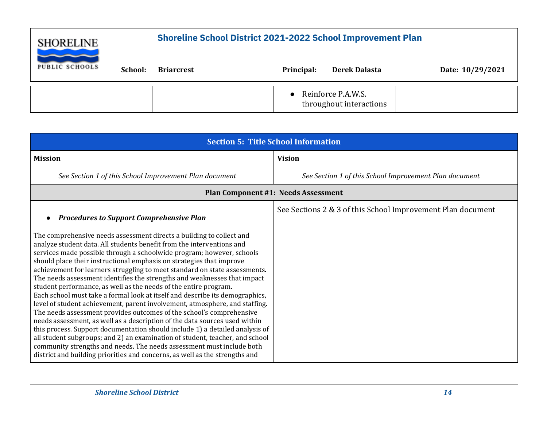| <b>SHORELINE</b>      |         | <b>Shoreline School District 2021-2022 School Improvement Plan</b> |            |                                               |                  |
|-----------------------|---------|--------------------------------------------------------------------|------------|-----------------------------------------------|------------------|
| <b>PUBLIC SCHOOLS</b> | School: | <b>Briarcrest</b>                                                  | Principal: | <b>Derek Dalasta</b>                          | Date: 10/29/2021 |
|                       |         |                                                                    |            | Reinforce P.A.W.S.<br>throughout interactions |                  |

| <b>Section 5: Title School Information</b>                                                                                                                                                                                                                                                                                                                                                                                                                                                                                                                                                                                                                                                                                                                                                                                                                                                                                                                                                                                                                                                                                                                                                                                   |                                                             |  |  |  |  |  |
|------------------------------------------------------------------------------------------------------------------------------------------------------------------------------------------------------------------------------------------------------------------------------------------------------------------------------------------------------------------------------------------------------------------------------------------------------------------------------------------------------------------------------------------------------------------------------------------------------------------------------------------------------------------------------------------------------------------------------------------------------------------------------------------------------------------------------------------------------------------------------------------------------------------------------------------------------------------------------------------------------------------------------------------------------------------------------------------------------------------------------------------------------------------------------------------------------------------------------|-------------------------------------------------------------|--|--|--|--|--|
| <b>Mission</b>                                                                                                                                                                                                                                                                                                                                                                                                                                                                                                                                                                                                                                                                                                                                                                                                                                                                                                                                                                                                                                                                                                                                                                                                               | <b>Vision</b>                                               |  |  |  |  |  |
| See Section 1 of this School Improvement Plan document                                                                                                                                                                                                                                                                                                                                                                                                                                                                                                                                                                                                                                                                                                                                                                                                                                                                                                                                                                                                                                                                                                                                                                       | See Section 1 of this School Improvement Plan document      |  |  |  |  |  |
| <b>Plan Component #1: Needs Assessment</b>                                                                                                                                                                                                                                                                                                                                                                                                                                                                                                                                                                                                                                                                                                                                                                                                                                                                                                                                                                                                                                                                                                                                                                                   |                                                             |  |  |  |  |  |
| <b>Procedures to Support Comprehensive Plan</b><br>The comprehensive needs assessment directs a building to collect and<br>analyze student data. All students benefit from the interventions and<br>services made possible through a schoolwide program; however, schools<br>should place their instructional emphasis on strategies that improve<br>achievement for learners struggling to meet standard on state assessments.<br>The needs assessment identifies the strengths and weaknesses that impact<br>student performance, as well as the needs of the entire program.<br>Each school must take a formal look at itself and describe its demographics,<br>level of student achievement, parent involvement, atmosphere, and staffing.<br>The needs assessment provides outcomes of the school's comprehensive<br>needs assessment, as well as a description of the data sources used within<br>this process. Support documentation should include 1) a detailed analysis of<br>all student subgroups; and 2) an examination of student, teacher, and school<br>community strengths and needs. The needs assessment must include both<br>district and building priorities and concerns, as well as the strengths and | See Sections 2 & 3 of this School Improvement Plan document |  |  |  |  |  |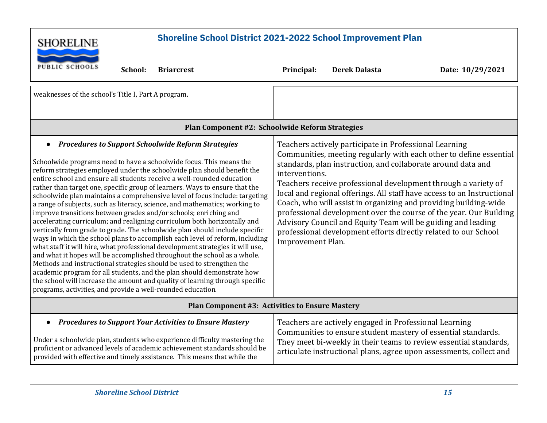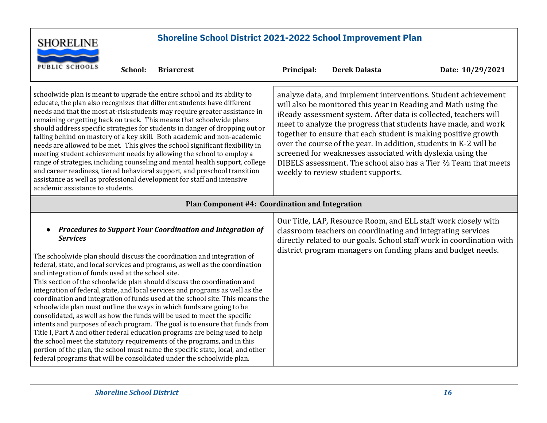| <b>SHORELINE</b>                                                                                                                                                                                                                                                                                                                                                                                                                                                                                                                                                                                                                                                                                                                                                                                                                                                                                                                                                                                                                                                                                         | <b>Shoreline School District 2021-2022 School Improvement Plan</b>                                                                                                                                                                                                                                                                                                                                                                                                                                                                                                                                             |                      |                  |  |  |  |
|----------------------------------------------------------------------------------------------------------------------------------------------------------------------------------------------------------------------------------------------------------------------------------------------------------------------------------------------------------------------------------------------------------------------------------------------------------------------------------------------------------------------------------------------------------------------------------------------------------------------------------------------------------------------------------------------------------------------------------------------------------------------------------------------------------------------------------------------------------------------------------------------------------------------------------------------------------------------------------------------------------------------------------------------------------------------------------------------------------|----------------------------------------------------------------------------------------------------------------------------------------------------------------------------------------------------------------------------------------------------------------------------------------------------------------------------------------------------------------------------------------------------------------------------------------------------------------------------------------------------------------------------------------------------------------------------------------------------------------|----------------------|------------------|--|--|--|
| <b>PUBLIC SCHOOLS</b><br><b>Briarcrest</b><br>School:                                                                                                                                                                                                                                                                                                                                                                                                                                                                                                                                                                                                                                                                                                                                                                                                                                                                                                                                                                                                                                                    | Principal:                                                                                                                                                                                                                                                                                                                                                                                                                                                                                                                                                                                                     | <b>Derek Dalasta</b> | Date: 10/29/2021 |  |  |  |
| schoolwide plan is meant to upgrade the entire school and its ability to<br>educate, the plan also recognizes that different students have different<br>needs and that the most at-risk students may require greater assistance in<br>remaining or getting back on track. This means that schoolwide plans<br>should address specific strategies for students in danger of dropping out or<br>falling behind on mastery of a key skill. Both academic and non-academic<br>needs are allowed to be met. This gives the school significant flexibility in<br>meeting student achievement needs by allowing the school to employ a<br>range of strategies, including counseling and mental health support, college<br>and career readiness, tiered behavioral support, and preschool transition<br>assistance as well as professional development for staff and intensive<br>academic assistance to students.                                                                                                                                                                                               | analyze data, and implement interventions. Student achievement<br>will also be monitored this year in Reading and Math using the<br>iReady assessment system. After data is collected, teachers will<br>meet to analyze the progress that students have made, and work<br>together to ensure that each student is making positive growth<br>over the course of the year. In addition, students in K-2 will be<br>screened for weaknesses associated with dyslexia using the<br>DIBELS assessment. The school also has a Tier <sup>2</sup> / <sub>3</sub> Team that meets<br>weekly to review student supports. |                      |                  |  |  |  |
| Plan Component #4: Coordination and Integration                                                                                                                                                                                                                                                                                                                                                                                                                                                                                                                                                                                                                                                                                                                                                                                                                                                                                                                                                                                                                                                          |                                                                                                                                                                                                                                                                                                                                                                                                                                                                                                                                                                                                                |                      |                  |  |  |  |
| <b>Procedures to Support Your Coordination and Integration of</b><br><b>Services</b><br>The schoolwide plan should discuss the coordination and integration of<br>federal, state, and local services and programs, as well as the coordination<br>and integration of funds used at the school site.<br>This section of the schoolwide plan should discuss the coordination and<br>integration of federal, state, and local services and programs as well as the<br>coordination and integration of funds used at the school site. This means the<br>schoolwide plan must outline the ways in which funds are going to be<br>consolidated, as well as how the funds will be used to meet the specific<br>intents and purposes of each program. The goal is to ensure that funds from<br>Title I, Part A and other federal education programs are being used to help<br>the school meet the statutory requirements of the programs, and in this<br>portion of the plan, the school must name the specific state, local, and other<br>federal programs that will be consolidated under the schoolwide plan. | Our Title, LAP, Resource Room, and ELL staff work closely with<br>classroom teachers on coordinating and integrating services<br>directly related to our goals. School staff work in coordination with<br>district program managers on funding plans and budget needs.                                                                                                                                                                                                                                                                                                                                         |                      |                  |  |  |  |